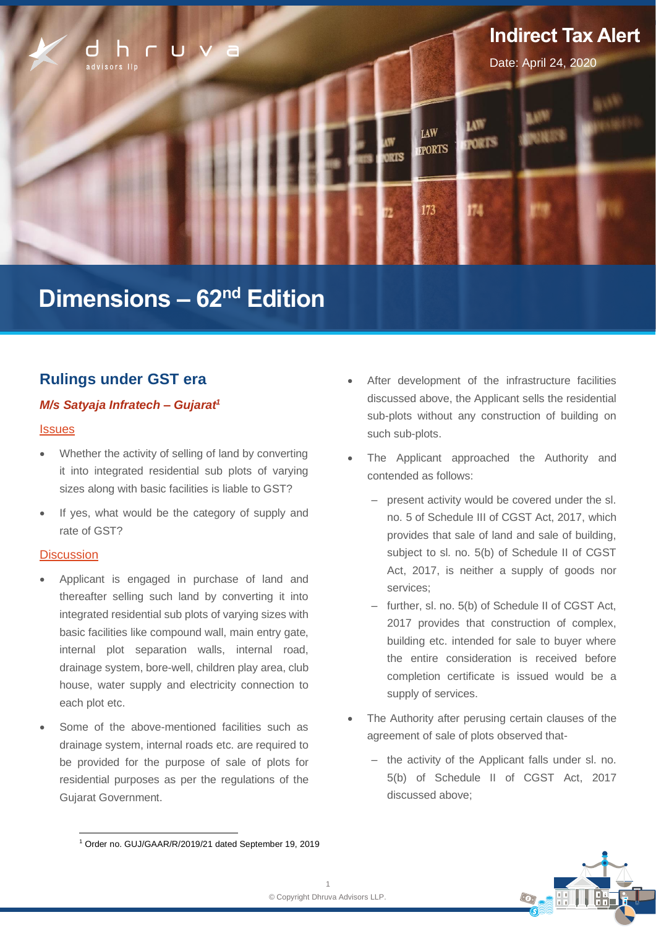

# **Dimensions – 62nd Edition**

# **Rulings under GST era**

# *M/s Satyaja Infratech – Gujarat<sup>1</sup>*

### **Issues**

- Whether the activity of selling of land by converting it into integrated residential sub plots of varying sizes along with basic facilities is liable to GST?
- If yes, what would be the category of supply and rate of GST?

### **Discussion**

- Applicant is engaged in purchase of land and thereafter selling such land by converting it into integrated residential sub plots of varying sizes with basic facilities like compound wall, main entry gate, internal plot separation walls, internal road, drainage system, bore-well, children play area, club house, water supply and electricity connection to each plot etc.
- Some of the above-mentioned facilities such as drainage system, internal roads etc. are required to be provided for the purpose of sale of plots for residential purposes as per the regulations of the Gujarat Government.
- After development of the infrastructure facilities discussed above, the Applicant sells the residential sub-plots without any construction of building on such sub-plots.
- The Applicant approached the Authority and contended as follows:
	- present activity would be covered under the sl. no. 5 of Schedule III of CGST Act, 2017, which provides that sale of land and sale of building, subject to sl. no. 5(b) of Schedule II of CGST Act, 2017, is neither a supply of goods nor services;
	- ‒ further, sl. no. 5(b) of Schedule II of CGST Act, 2017 provides that construction of complex, building etc. intended for sale to buyer where the entire consideration is received before completion certificate is issued would be a supply of services.
- The Authority after perusing certain clauses of the agreement of sale of plots observed that-
	- the activity of the Applicant falls under sl. no. 5(b) of Schedule II of CGST Act, 2017 discussed above;

<sup>1</sup> Order no. GUJ/GAAR/R/2019/21 dated September 19, 2019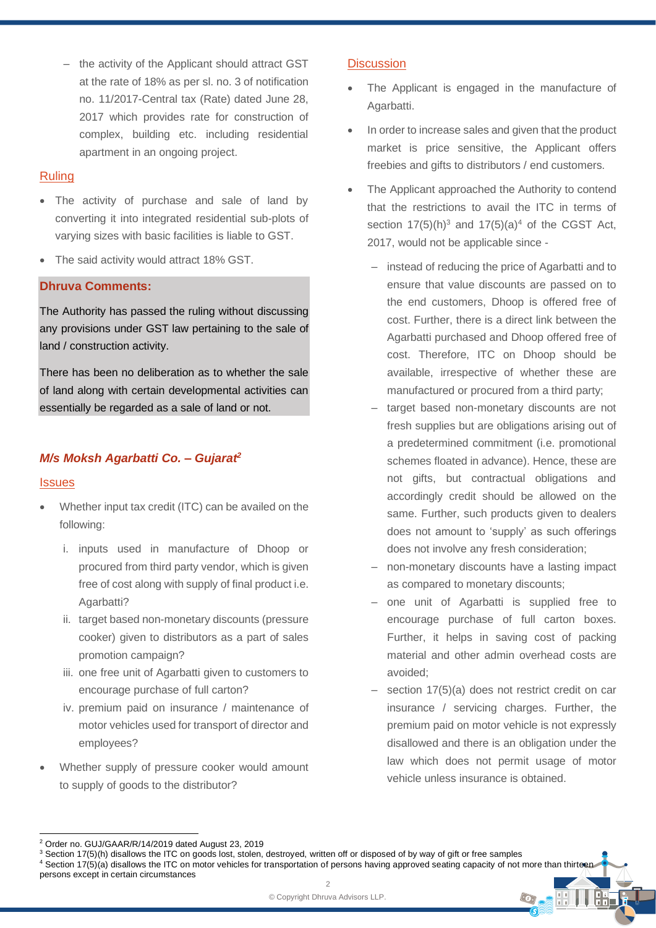- the activity of the Applicant should attract GST at the rate of 18% as per sl. no. 3 of notification no. 11/2017-Central tax (Rate) dated June 28, 2017 which provides rate for construction of complex, building etc. including residential apartment in an ongoing project.

### Ruling

- The activity of purchase and sale of land by converting it into integrated residential sub-plots of varying sizes with basic facilities is liable to GST.
- The said activity would attract 18% GST.

# **Dhruva Comments:**

The Authority has passed the ruling without discussing any provisions under GST law pertaining to the sale of land / construction activity.

There has been no deliberation as to whether the sale of land along with certain developmental activities can essentially be regarded as a sale of land or not.

# *M/s Moksh Agarbatti Co. – Gujarat<sup>2</sup>*

# **Issues**

- Whether input tax credit (ITC) can be availed on the following:
	- i. inputs used in manufacture of Dhoop or procured from third party vendor, which is given free of cost along with supply of final product i.e. Agarbatti?
	- ii. target based non-monetary discounts (pressure cooker) given to distributors as a part of sales promotion campaign?
	- iii. one free unit of Agarbatti given to customers to encourage purchase of full carton?
	- iv. premium paid on insurance / maintenance of motor vehicles used for transport of director and employees?
- Whether supply of pressure cooker would amount to supply of goods to the distributor?

# **Discussion**

- The Applicant is engaged in the manufacture of Agarbatti.
- In order to increase sales and given that the product market is price sensitive, the Applicant offers freebies and gifts to distributors / end customers.
- The Applicant approached the Authority to contend that the restrictions to avail the ITC in terms of section  $17(5)(h)^3$  and  $17(5)(a)^4$  of the CGST Act, 2017, would not be applicable since -
	- instead of reducing the price of Agarbatti and to ensure that value discounts are passed on to the end customers, Dhoop is offered free of cost. Further, there is a direct link between the Agarbatti purchased and Dhoop offered free of cost. Therefore, ITC on Dhoop should be available, irrespective of whether these are manufactured or procured from a third party;
	- ‒ target based non-monetary discounts are not fresh supplies but are obligations arising out of a predetermined commitment (i.e. promotional schemes floated in advance). Hence, these are not gifts, but contractual obligations and accordingly credit should be allowed on the same. Further, such products given to dealers does not amount to 'supply' as such offerings does not involve any fresh consideration;
	- non-monetary discounts have a lasting impact as compared to monetary discounts;
	- ‒ one unit of Agarbatti is supplied free to encourage purchase of full carton boxes. Further, it helps in saving cost of packing material and other admin overhead costs are avoided;
	- section 17(5)(a) does not restrict credit on car insurance / servicing charges. Further, the premium paid on motor vehicle is not expressly disallowed and there is an obligation under the law which does not permit usage of motor vehicle unless insurance is obtained.

CG.

<sup>2</sup> Order no. GUJ/GAAR/R/14/2019 dated August 23, 2019

<sup>&</sup>lt;sup>3</sup> Section 17(5)(h) disallows the ITC on goods lost, stolen, destroyed, written off or disposed of by way of gift or free samples  $4$  Section 17(5)(a) disallows the ITC on motor vehicles for transportation of persons having approved seating capacity of not more than thirteen

persons except in certain circumstances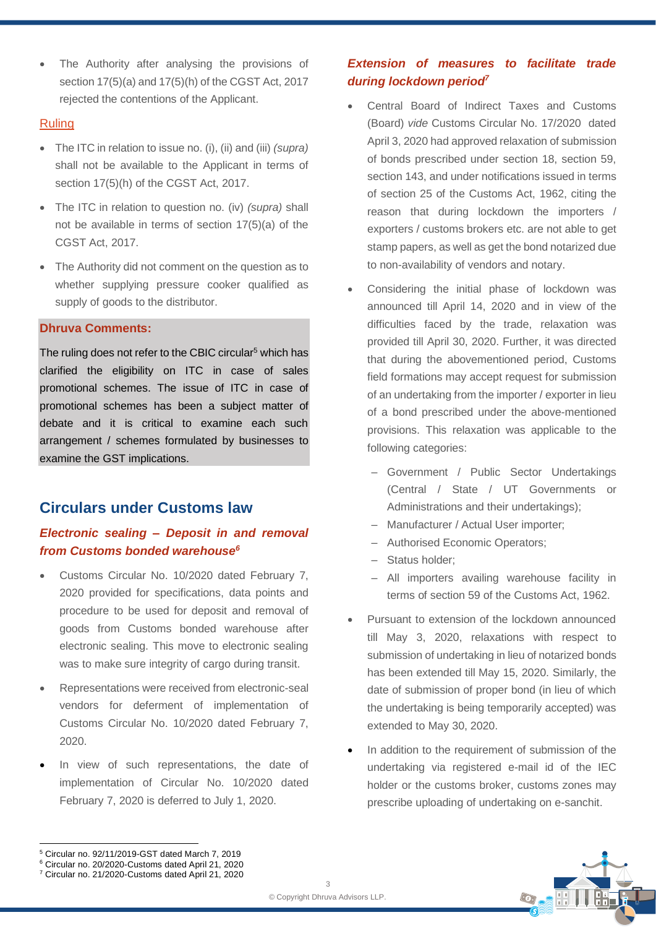The Authority after analysing the provisions of section 17(5)(a) and 17(5)(h) of the CGST Act, 2017 rejected the contentions of the Applicant.

## Ruling

- The ITC in relation to issue no. (i), (ii) and (iii) *(supra)* shall not be available to the Applicant in terms of section 17(5)(h) of the CGST Act, 2017.
- The ITC in relation to question no. (iv) *(supra)* shall not be available in terms of section 17(5)(a) of the CGST Act, 2017.
- The Authority did not comment on the question as to whether supplying pressure cooker qualified as supply of goods to the distributor.

# **Dhruva Comments:**

The ruling does not refer to the CBIC circular<sup>5</sup> which has clarified the eligibility on ITC in case of sales promotional schemes. The issue of ITC in case of promotional schemes has been a subject matter of debate and it is critical to examine each such arrangement / schemes formulated by businesses to examine the GST implications.

# **Circulars under Customs law**

# *Electronic sealing – Deposit in and removal from Customs bonded warehouse<sup>6</sup>*

- Customs Circular No. 10/2020 dated February 7, 2020 provided for specifications, data points and procedure to be used for deposit and removal of goods from Customs bonded warehouse after electronic sealing. This move to electronic sealing was to make sure integrity of cargo during transit.
- Representations were received from electronic-seal vendors for deferment of implementation of Customs Circular No. 10/2020 dated February 7, 2020.
- In view of such representations, the date of implementation of Circular No. 10/2020 dated February 7, 2020 is deferred to July 1, 2020.

# *Extension of measures to facilitate trade during lockdown period<sup>7</sup>*

- Central Board of Indirect Taxes and Customs (Board) *vide* Customs Circular No. 17/2020 dated April 3, 2020 had approved relaxation of submission of bonds prescribed under section 18, section 59, section 143, and under notifications issued in terms of section 25 of the Customs Act, 1962, citing the reason that during lockdown the importers / exporters / customs brokers etc. are not able to get stamp papers, as well as get the bond notarized due to non-availability of vendors and notary.
- Considering the initial phase of lockdown was announced till April 14, 2020 and in view of the difficulties faced by the trade, relaxation was provided till April 30, 2020. Further, it was directed that during the abovementioned period, Customs field formations may accept request for submission of an undertaking from the importer / exporter in lieu of a bond prescribed under the above-mentioned provisions. This relaxation was applicable to the following categories:
	- ‒ Government / Public Sector Undertakings (Central / State / UT Governments or Administrations and their undertakings);
	- ‒ Manufacturer / Actual User importer;
	- ‒ Authorised Economic Operators;
	- ‒ Status holder;
	- ‒ All importers availing warehouse facility in terms of section 59 of the Customs Act, 1962.
- Pursuant to extension of the lockdown announced till May 3, 2020, relaxations with respect to submission of undertaking in lieu of notarized bonds has been extended till May 15, 2020. Similarly, the date of submission of proper bond (in lieu of which the undertaking is being temporarily accepted) was extended to May 30, 2020.
- In addition to the requirement of submission of the undertaking via registered e-mail id of the IEC holder or the customs broker, customs zones may prescribe uploading of undertaking on e-sanchit.



<sup>5</sup> Circular no. 92/11/2019-GST dated March 7, 2019

<sup>6</sup> Circular no. 20/2020-Customs dated April 21, 2020

<sup>7</sup> Circular no. 21/2020-Customs dated April 21, 2020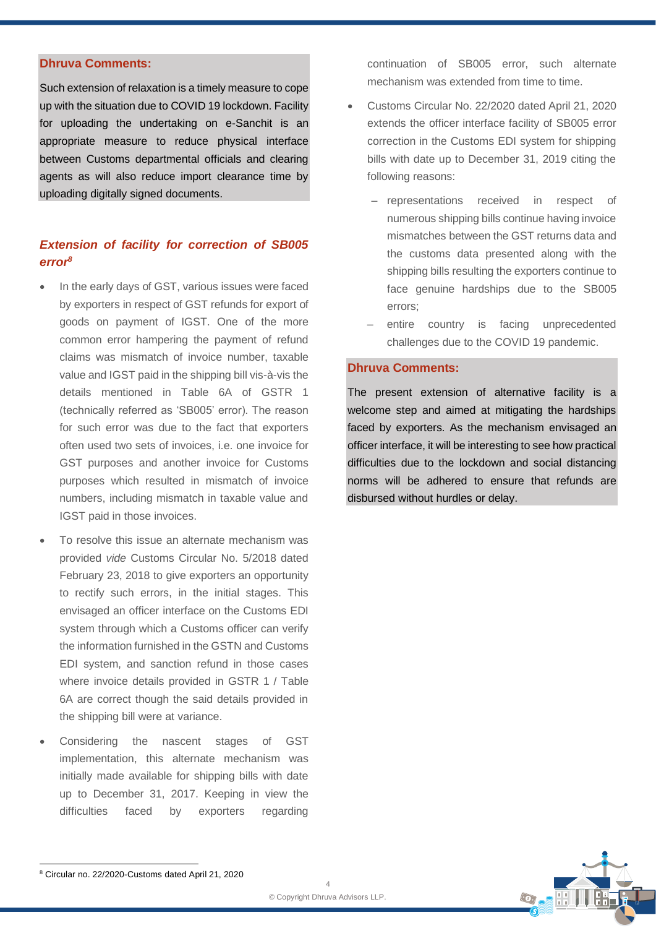#### **Dhruva Comments:**

Such extension of relaxation is a timely measure to cope up with the situation due to COVID 19 lockdown. Facility for uploading the undertaking on e-Sanchit is an appropriate measure to reduce physical interface between Customs departmental officials and clearing agents as will also reduce import clearance time by uploading digitally signed documents.

# *Extension of facility for correction of SB005 error<sup>8</sup>*

- In the early days of GST, various issues were faced by exporters in respect of GST refunds for export of goods on payment of IGST. One of the more common error hampering the payment of refund claims was mismatch of invoice number, taxable value and IGST paid in the shipping bill vis-à-vis the details mentioned in Table 6A of GSTR 1 (technically referred as 'SB005' error). The reason for such error was due to the fact that exporters often used two sets of invoices, i.e. one invoice for GST purposes and another invoice for Customs purposes which resulted in mismatch of invoice numbers, including mismatch in taxable value and IGST paid in those invoices.
- To resolve this issue an alternate mechanism was provided *vide* Customs Circular No. 5/2018 dated February 23, 2018 to give exporters an opportunity to rectify such errors, in the initial stages. This envisaged an officer interface on the Customs EDI system through which a Customs officer can verify the information furnished in the GSTN and Customs EDI system, and sanction refund in those cases where invoice details provided in GSTR 1 / Table 6A are correct though the said details provided in the shipping bill were at variance.
- Considering the nascent stages of GST implementation, this alternate mechanism was initially made available for shipping bills with date up to December 31, 2017. Keeping in view the difficulties faced by exporters regarding

continuation of SB005 error, such alternate mechanism was extended from time to time.

- Customs Circular No. 22/2020 dated April 21, 2020 extends the officer interface facility of SB005 error correction in the Customs EDI system for shipping bills with date up to December 31, 2019 citing the following reasons:
	- ‒ representations received in respect of numerous shipping bills continue having invoice mismatches between the GST returns data and the customs data presented along with the shipping bills resulting the exporters continue to face genuine hardships due to the SB005 errors;
	- ‒ entire country is facing unprecedented challenges due to the COVID 19 pandemic.

# **Dhruva Comments:**

The present extension of alternative facility is a welcome step and aimed at mitigating the hardships faced by exporters. As the mechanism envisaged an officer interface, it will be interesting to see how practical difficulties due to the lockdown and social distancing norms will be adhered to ensure that refunds are disbursed without hurdles or delay.



<sup>8</sup> Circular no. 22/2020-Customs dated April 21, 2020